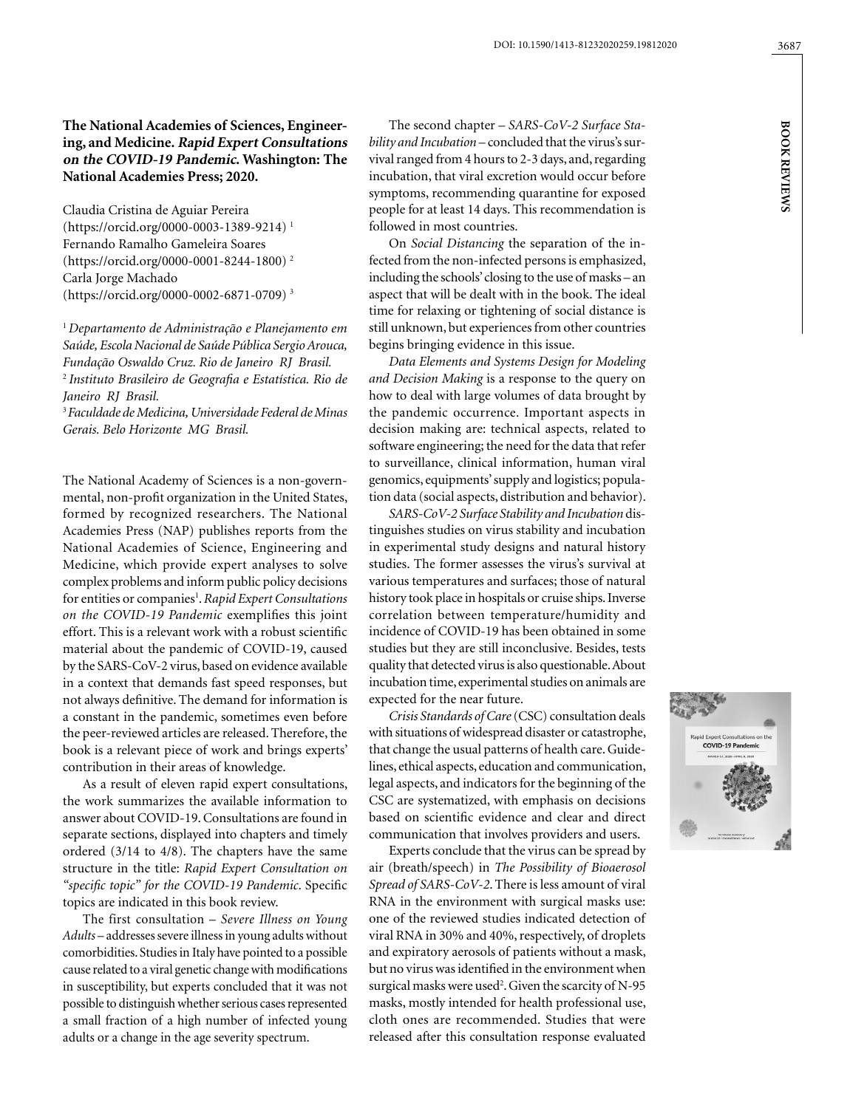Claudia Cristina de Aguiar Pereira (https://orcid.org/0000-0003-1389-9214) 1 Fernando Ramalho Gameleira Soares (https://orcid.org/0000-0001-8244-1800) 2 Carla Jorge Machado (https://orcid.org/0000-0002-6871-0709) 3

<sup>1</sup>*Departamento de Administração e Planejamento em Saúde, Escola Nacional de Saúde Pública Sergio Arouca, Fundação Oswaldo Cruz. Rio de Janeiro RJ Brasil.* <sup>2</sup>*Instituto Brasileiro de Geografia e Estatística. Rio de Janeiro RJ Brasil.*

<sup>3</sup>*Faculdade de Medicina, Universidade Federal de Minas Gerais. Belo Horizonte MG Brasil.*

The National Academy of Sciences is a non-governmental, non-profit organization in the United States, formed by recognized researchers. The National Academies Press (NAP) publishes reports from the National Academies of Science, Engineering and Medicine, which provide expert analyses to solve complex problems and inform public policy decisions for entities or companies<sup>1</sup>. Rapid Expert Consultations *on the COVID-19 Pandemic* exemplifies this joint effort. This is a relevant work with a robust scientific material about the pandemic of COVID-19, caused by the SARS-CoV-2 virus, based on evidence available in a context that demands fast speed responses, but not always definitive. The demand for information is a constant in the pandemic, sometimes even before the peer-reviewed articles are released. Therefore, the book is a relevant piece of work and brings experts' contribution in their areas of knowledge.

As a result of eleven rapid expert consultations, the work summarizes the available information to answer about COVID-19. Consultations are found in separate sections, displayed into chapters and timely ordered (3/14 to 4/8). The chapters have the same structure in the title: *Rapid Expert Consultation on "specific topic" for the COVID-19 Pandemic*. Specific topics are indicated in this book review.

The first consultation – *Severe Illness on Young Adults* – addresses severe illness in young adults without comorbidities. Studies in Italy have pointed to a possible cause related to a viral genetic change with modifications in susceptibility, but experts concluded that it was not possible to distinguish whether serious cases represented a small fraction of a high number of infected young adults or a change in the age severity spectrum.

The second chapter – *SARS-CoV-2 Surface Stability and Incubation* – concluded that the virus's survival ranged from 4 hours to 2-3 days, and, regarding incubation, that viral excretion would occur before symptoms, recommending quarantine for exposed people for at least 14 days. This recommendation is followed in most countries.

On *Social Distancing* the separation of the infected from the non-infected persons is emphasized, including the schools' closing to the use of masks – an aspect that will be dealt with in the book. The ideal time for relaxing or tightening of social distance is still unknown, but experiences from other countries begins bringing evidence in this issue.

*Data Elements and Systems Design for Modeling and Decision Making* is a response to the query on how to deal with large volumes of data brought by the pandemic occurrence. Important aspects in decision making are: technical aspects, related to software engineering; the need for the data that refer to surveillance, clinical information, human viral genomics, equipments' supply and logistics; population data (social aspects, distribution and behavior).

*SARS-CoV-2 Surface Stability and Incubation* distinguishes studies on virus stability and incubation in experimental study designs and natural history studies. The former assesses the virus's survival at various temperatures and surfaces; those of natural history took place in hospitals or cruise ships. Inverse correlation between temperature/humidity and incidence of COVID-19 has been obtained in some studies but they are still inconclusive. Besides, tests quality that detected virus is also questionable. About incubation time, experimental studies on animals are expected for the near future.

*Crisis Standards of Care* (CSC) consultation deals with situations of widespread disaster or catastrophe, that change the usual patterns of health care. Guidelines, ethical aspects, education and communication, legal aspects, and indicators for the beginning of the CSC are systematized, with emphasis on decisions based on scientific evidence and clear and direct communication that involves providers and users.

Experts conclude that the virus can be spread by air (breath/speech) in *The Possibility of Bioaerosol Spread of SARS-CoV-2*. There is less amount of viral RNA in the environment with surgical masks use: one of the reviewed studies indicated detection of viral RNA in 30% and 40%, respectively, of droplets and expiratory aerosols of patients without a mask, but no virus was identified in the environment when surgical masks were used<sup>2</sup>. Given the scarcity of N-95 masks, mostly intended for health professional use, cloth ones are recommended. Studies that were released after this consultation response evaluated